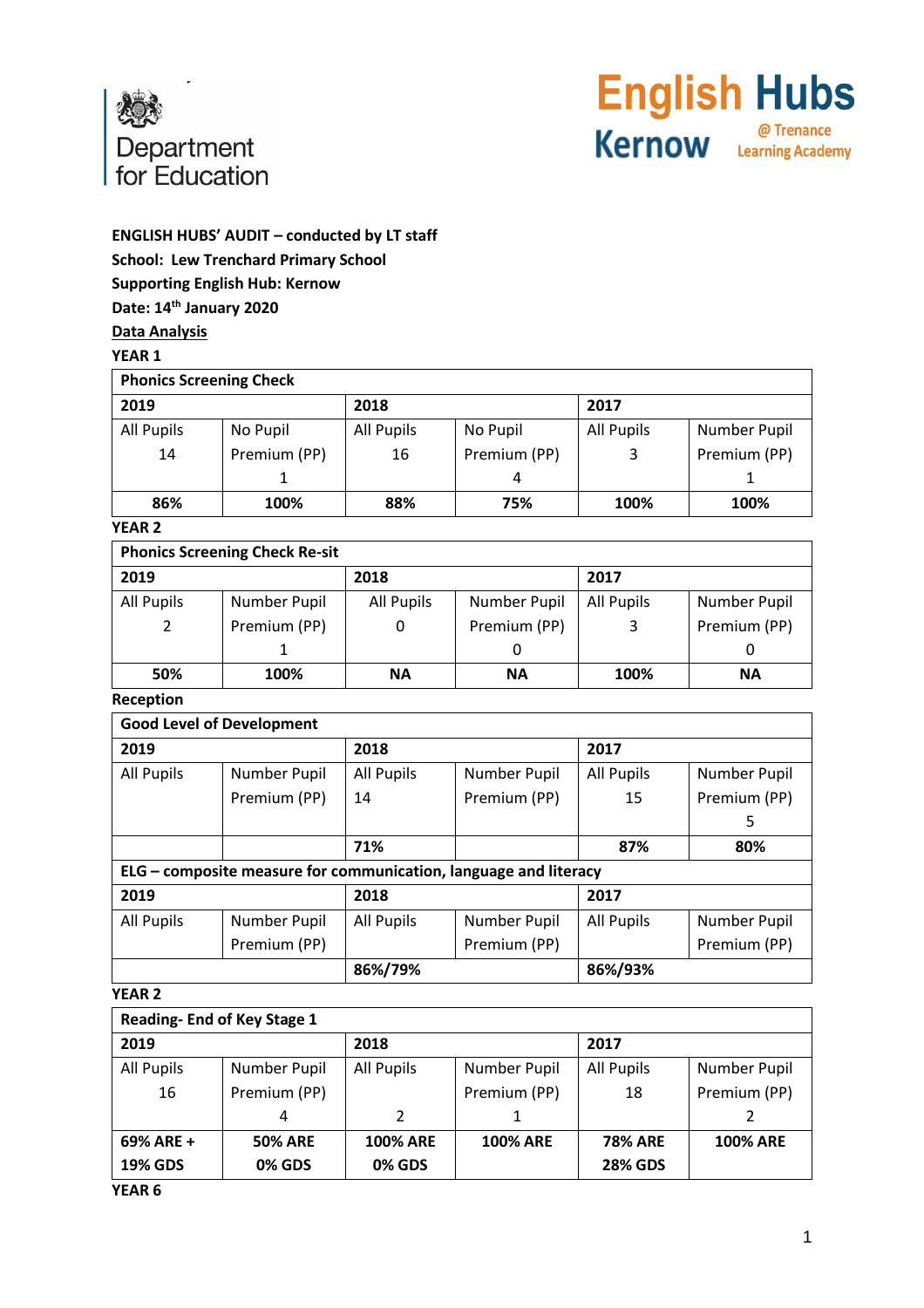

# **English Hubs** @ Trenance **Kernow Learning Academy**

# **ENGLISH HUBS' AUDIT – conducted by LT staff School: Lew Trenchard Primary School Supporting English Hub: Kernow Date: 14th January 2020 Data Analysis**

## **YEAR 1**

| <b>Phonics Screening Check</b> |              |            |              |            |              |
|--------------------------------|--------------|------------|--------------|------------|--------------|
| 2019                           |              | 2018       |              | 2017       |              |
| All Pupils                     | No Pupil     | All Pupils | No Pupil     | All Pupils | Number Pupil |
| 14                             | Premium (PP) | 16         | Premium (PP) | 3          | Premium (PP) |
|                                |              |            | 4            |            |              |
| 86%                            | 100%         | 88%        | 75%          | 100%       | 100%         |

## **YEAR 2**

|            | <b>Phonics Screening Check Re-sit</b> |            |              |            |              |
|------------|---------------------------------------|------------|--------------|------------|--------------|
| 2019       |                                       | 2018       |              | 2017       |              |
| All Pupils | Number Pupil                          | All Pupils | Number Pupil | All Pupils | Number Pupil |
|            | Premium (PP)                          |            | Premium (PP) | 3          | Premium (PP) |
|            |                                       |            |              |            | O            |
| 50%        | 100%                                  | <b>NA</b>  | <b>NA</b>    | 100%       | ΝA           |

## **Reception**

|                   | <b>Good Level of Development</b>                                 |                   |              |                   |              |
|-------------------|------------------------------------------------------------------|-------------------|--------------|-------------------|--------------|
| 2019              |                                                                  | 2018              |              | 2017              |              |
| All Pupils        | Number Pupil                                                     | <b>All Pupils</b> | Number Pupil | All Pupils        | Number Pupil |
|                   | Premium (PP)                                                     | 14                | Premium (PP) | 15                | Premium (PP) |
|                   |                                                                  |                   |              |                   | 5            |
|                   |                                                                  | 71%               |              | 87%               | 80%          |
|                   | ELG - composite measure for communication, language and literacy |                   |              |                   |              |
| 2019              |                                                                  | 2018              |              | 2017              |              |
| <b>All Pupils</b> | Number Pupil                                                     | <b>All Pupils</b> | Number Pupil | <b>All Pupils</b> | Number Pupil |
|                   | Premium (PP)                                                     |                   | Premium (PP) |                   | Premium (PP) |
|                   |                                                                  | 86%/79%           |              | 86%/93%           |              |

#### **YEAR 2**

| Reading-End of Key Stage 1 |                |                 |                 |                |                 |
|----------------------------|----------------|-----------------|-----------------|----------------|-----------------|
| 2019                       |                | 2018            |                 | 2017           |                 |
| All Pupils                 | Number Pupil   | All Pupils      | Number Pupil    | All Pupils     | Number Pupil    |
| 16                         | Premium (PP)   |                 | Premium (PP)    | 18             | Premium (PP)    |
|                            | 4              | $\mathcal{L}$   |                 |                |                 |
| 69% ARE +                  | <b>50% ARE</b> | <b>100% ARE</b> | <b>100% ARE</b> | <b>78% ARE</b> | <b>100% ARE</b> |
| <b>19% GDS</b>             | <b>0% GDS</b>  | <b>0% GDS</b>   |                 | <b>28% GDS</b> |                 |

**YEAR 6**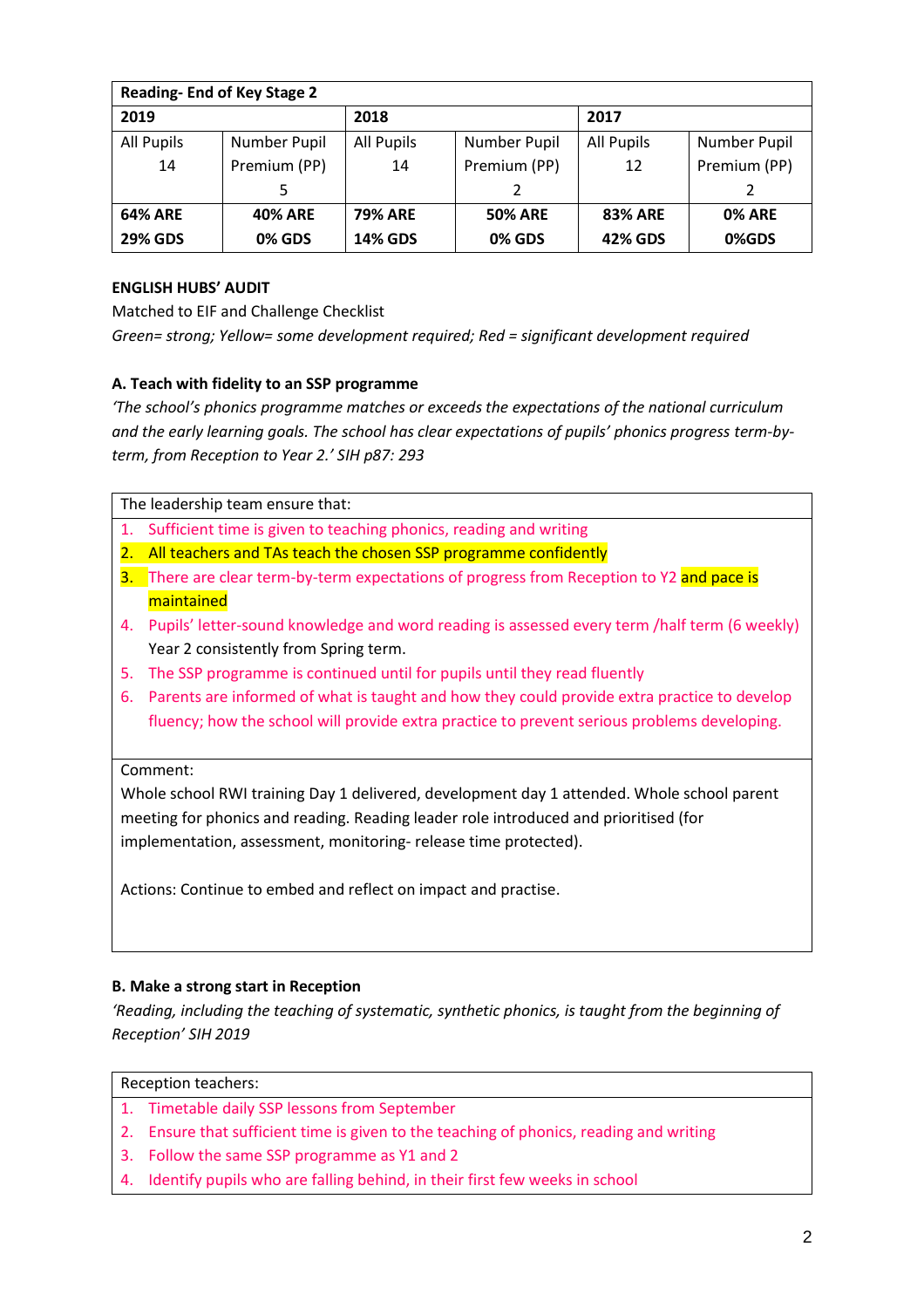| <b>Reading-End of Key Stage 2</b> |                |                   |                |                   |               |
|-----------------------------------|----------------|-------------------|----------------|-------------------|---------------|
| 2019                              |                | 2018              |                | 2017              |               |
| All Pupils                        | Number Pupil   | <b>All Pupils</b> | Number Pupil   | <b>All Pupils</b> | Number Pupil  |
| 14                                | Premium (PP)   | 14                | Premium (PP)   | 12                | Premium (PP)  |
|                                   | 5              |                   |                |                   |               |
| <b>64% ARE</b>                    | <b>40% ARE</b> | <b>79% ARE</b>    | <b>50% ARE</b> | <b>83% ARE</b>    | <b>0% ARE</b> |
| <b>29% GDS</b>                    | <b>0% GDS</b>  | <b>14% GDS</b>    | <b>0% GDS</b>  | 42% GDS           | 0%GDS         |

# **ENGLISH HUBS' AUDIT**

Matched to EIF and Challenge Checklist

*Green= strong; Yellow= some development required; Red = significant development required*

# **A. Teach with fidelity to an SSP programme**

*'The school's phonics programme matches or exceeds the expectations of the national curriculum*  and the early learning goals. The school has clear expectations of pupils' phonics progress term-by*term, from Reception to Year 2.' SIH p87: 293*

The leadership team ensure that:

- 1. Sufficient time is given to teaching phonics, reading and writing
- 2. All teachers and TAs teach the chosen SSP programme confidently
- 3. There are clear term-by-term expectations of progress from Reception to Y2 and pace is maintained
- 4. Pupils' letter-sound knowledge and word reading is assessed every term /half term (6 weekly) Year 2 consistently from Spring term.
- 5. The SSP programme is continued until for pupils until they read fluently
- 6. Parents are informed of what is taught and how they could provide extra practice to develop fluency; how the school will provide extra practice to prevent serious problems developing.

## Comment:

Whole school RWI training Day 1 delivered, development day 1 attended. Whole school parent meeting for phonics and reading. Reading leader role introduced and prioritised (for implementation, assessment, monitoring- release time protected).

Actions: Continue to embed and reflect on impact and practise.

## **B. Make a strong start in Reception**

*'Reading, including the teaching of systematic, synthetic phonics, is taught from the beginning of Reception' SIH 2019*

- 1. Timetable daily SSP lessons from September
- 2. Ensure that sufficient time is given to the teaching of phonics, reading and writing
- 3. Follow the same SSP programme as Y1 and 2
- 4. Identify pupils who are falling behind, in their first few weeks in school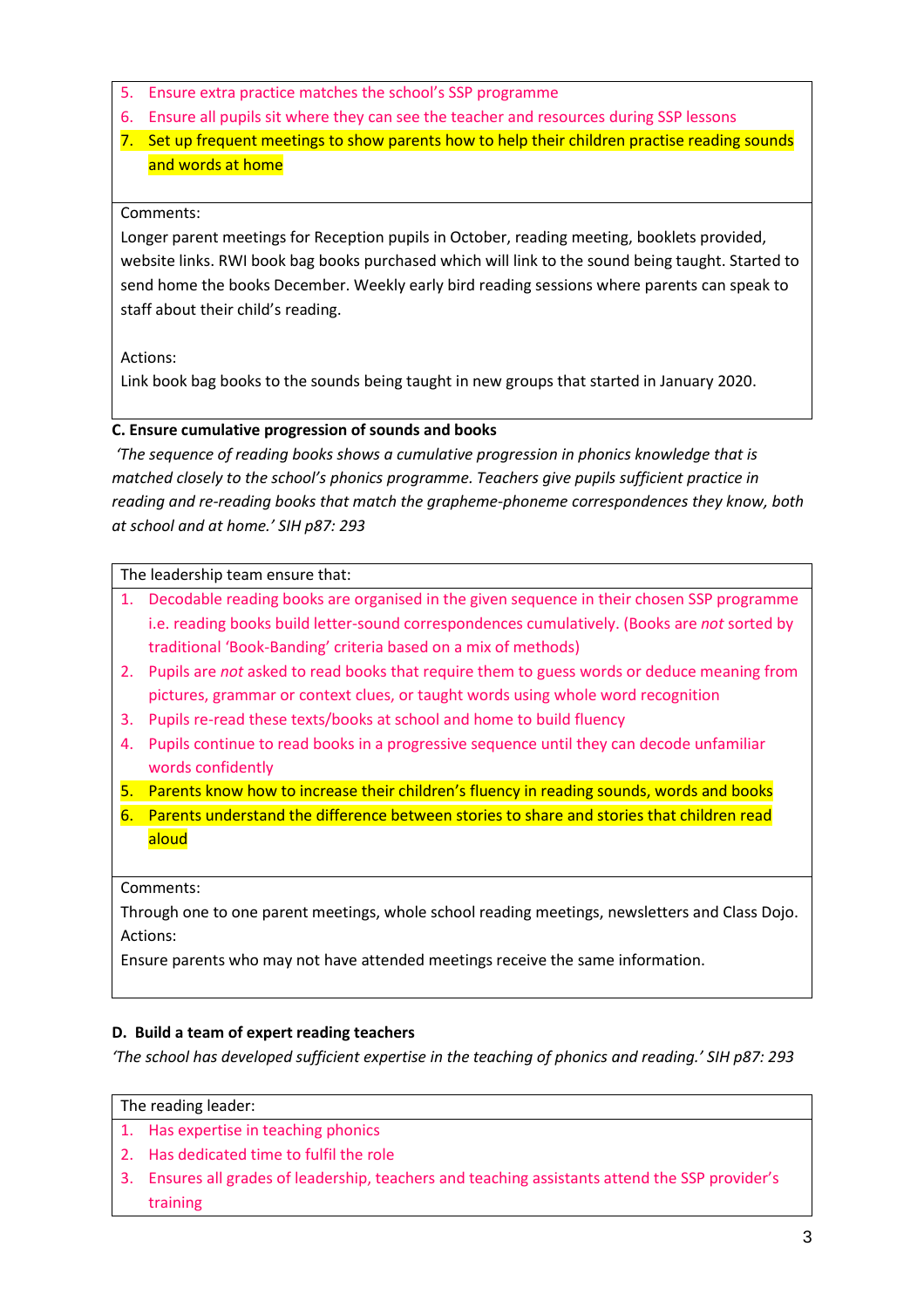- 5. Ensure extra practice matches the school's SSP programme
- 6. Ensure all pupils sit where they can see the teacher and resources during SSP lessons
- 7. Set up frequent meetings to show parents how to help their children practise reading sounds and words at home

#### Comments:

Longer parent meetings for Reception pupils in October, reading meeting, booklets provided, website links. RWI book bag books purchased which will link to the sound being taught. Started to send home the books December. Weekly early bird reading sessions where parents can speak to staff about their child's reading.

Actions:

Link book bag books to the sounds being taught in new groups that started in January 2020.

## **C. Ensure cumulative progression of sounds and books**

*'The sequence of reading books shows a cumulative progression in phonics knowledge that is matched closely to the school's phonics programme. Teachers give pupils sufficient practice in reading and re-reading books that match the grapheme-phoneme correspondences they know, both at school and at home.' SIH p87: 293*

The leadership team ensure that:

- 1. Decodable reading books are organised in the given sequence in their chosen SSP programme i.e. reading books build letter-sound correspondences cumulatively. (Books are *not* sorted by traditional 'Book-Banding' criteria based on a mix of methods)
- 2. Pupils are *not* asked to read books that require them to guess words or deduce meaning from pictures, grammar or context clues, or taught words using whole word recognition
- 3. Pupils re-read these texts/books at school and home to build fluency
- 4. Pupils continue to read books in a progressive sequence until they can decode unfamiliar words confidently
- 5. Parents know how to increase their children's fluency in reading sounds, words and books
- 6. Parents understand the difference between stories to share and stories that children read aloud

Comments:

Through one to one parent meetings, whole school reading meetings, newsletters and Class Dojo. Actions:

Ensure parents who may not have attended meetings receive the same information.

## **D. Build a team of expert reading teachers**

*'The school has developed sufficient expertise in the teaching of phonics and reading.' SIH p87: 293*

#### The reading leader:

- 1. Has expertise in teaching phonics
- 2. Has dedicated time to fulfil the role
- 3. Ensures all grades of leadership, teachers and teaching assistants attend the SSP provider's training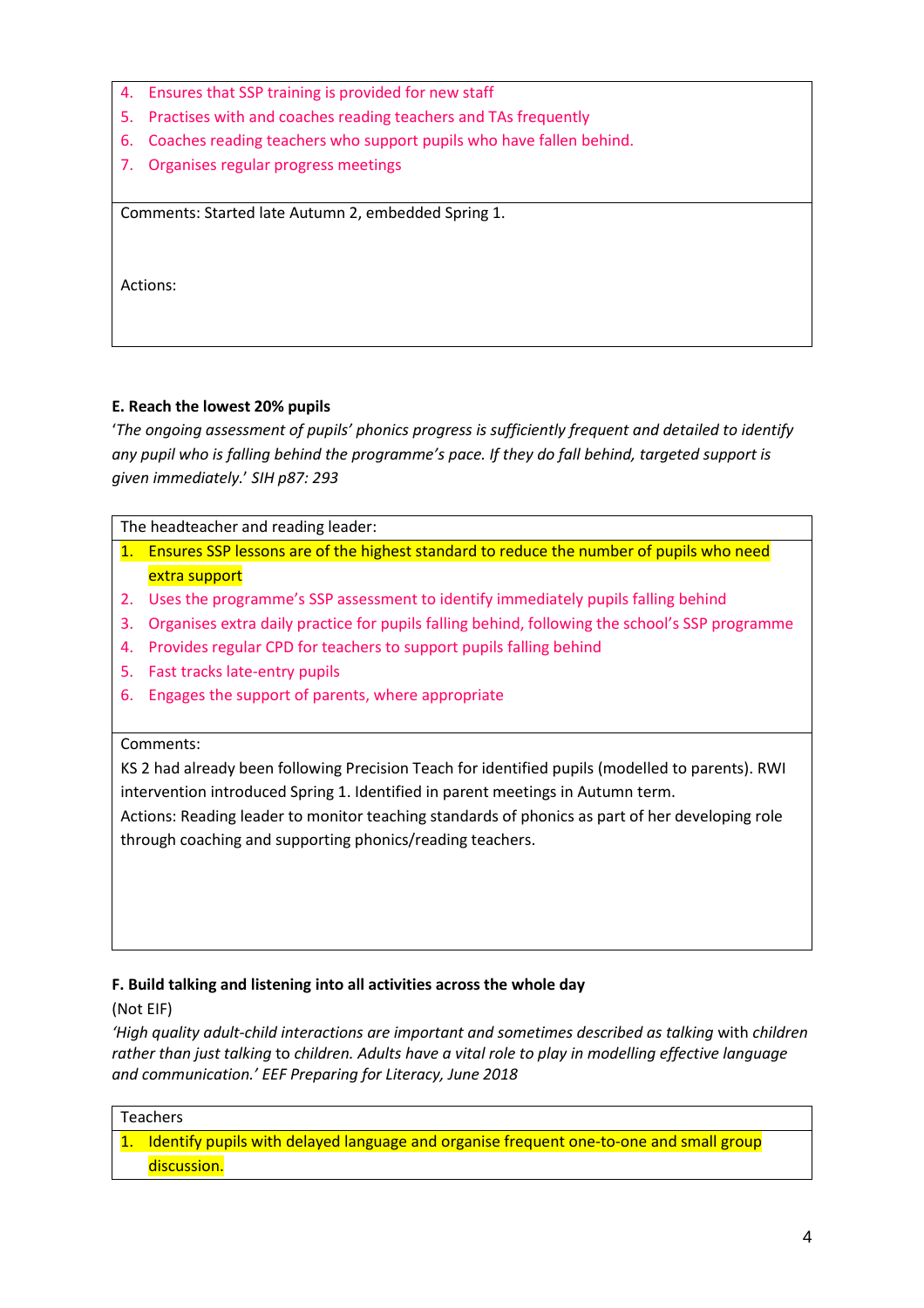- 4. Ensures that SSP training is provided for new staff
- 5. Practises with and coaches reading teachers and TAs frequently
- 6. Coaches reading teachers who support pupils who have fallen behind.
- 7. Organises regular progress meetings

Comments: Started late Autumn 2, embedded Spring 1.

Actions:

## **E. Reach the lowest 20% pupils**

'*The ongoing assessment of pupils' phonics progress is sufficiently frequent and detailed to identify any pupil who is falling behind the programme's pace. If they do fall behind, targeted support is given immediately.*' *SIH p87: 293*

The headteacher and reading leader:

- 1. Ensures SSP lessons are of the highest standard to reduce the number of pupils who need extra support
- 2. Uses the programme's SSP assessment to identify immediately pupils falling behind
- 3. Organises extra daily practice for pupils falling behind, following the school's SSP programme
- 4. Provides regular CPD for teachers to support pupils falling behind
- 5. Fast tracks late-entry pupils
- 6. Engages the support of parents, where appropriate

#### Comments:

KS 2 had already been following Precision Teach for identified pupils (modelled to parents). RWI intervention introduced Spring 1. Identified in parent meetings in Autumn term.

Actions: Reading leader to monitor teaching standards of phonics as part of her developing role through coaching and supporting phonics/reading teachers.

## **F. Build talking and listening into all activities across the whole day**

(Not EIF)

*'High quality adult-child interactions are important and sometimes described as talking* with *children rather than just talking* to *children. Adults have a vital role to play in modelling effective language and communication.' EEF Preparing for Literacy, June 2018*

#### Teachers

1. Identify pupils with delayed language and organise frequent one-to-one and small group discussion.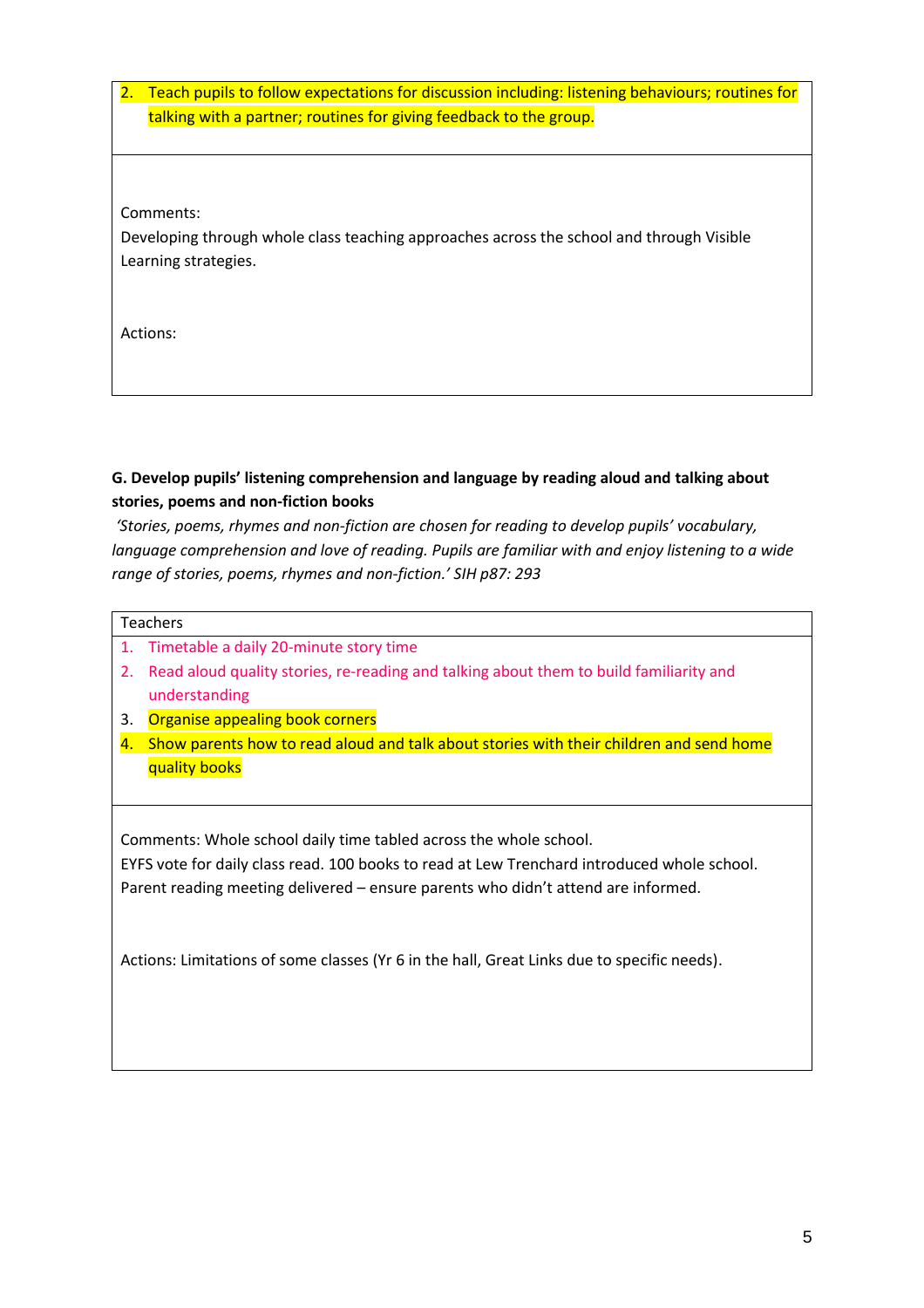2. Teach pupils to follow expectations for discussion including: listening behaviours; routines for talking with a partner; routines for giving feedback to the group.

Comments:

Developing through whole class teaching approaches across the school and through Visible Learning strategies.

Actions:

# **G. Develop pupils' listening comprehension and language by reading aloud and talking about stories, poems and non-fiction books**

*'Stories, poems, rhymes and non-fiction are chosen for reading to develop pupils' vocabulary, language comprehension and love of reading. Pupils are familiar with and enjoy listening to a wide range of stories, poems, rhymes and non-fiction.' SIH p87: 293*

| Teachers |
|----------|
|----------|

- 1. Timetable a daily 20-minute story time
- 2. Read aloud quality stories, re-reading and talking about them to build familiarity and understanding
- 3. Organise appealing book corners
- 4. Show parents how to read aloud and talk about stories with their children and send home quality books

Comments: Whole school daily time tabled across the whole school.

EYFS vote for daily class read. 100 books to read at Lew Trenchard introduced whole school. Parent reading meeting delivered – ensure parents who didn't attend are informed.

Actions: Limitations of some classes (Yr 6 in the hall, Great Links due to specific needs).